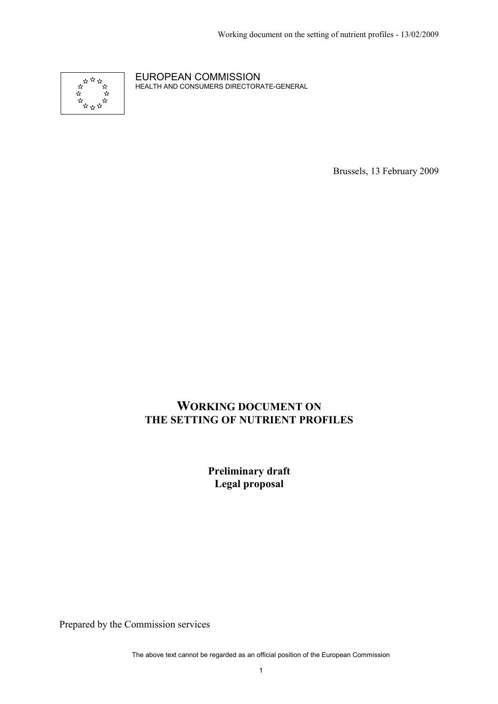

EUROPEAN COMMISSION HEALTH AND CONSUMERS DIRECTORATE-GENERAL

Brussels, 13 February 2009

# **WORKING DOCUMENT ON THE SETTING OF NUTRIENT PROFILES**

**Preliminary draft Legal proposal** 

Prepared by the Commission services

The above text cannot be regarded as an official position of the European Commission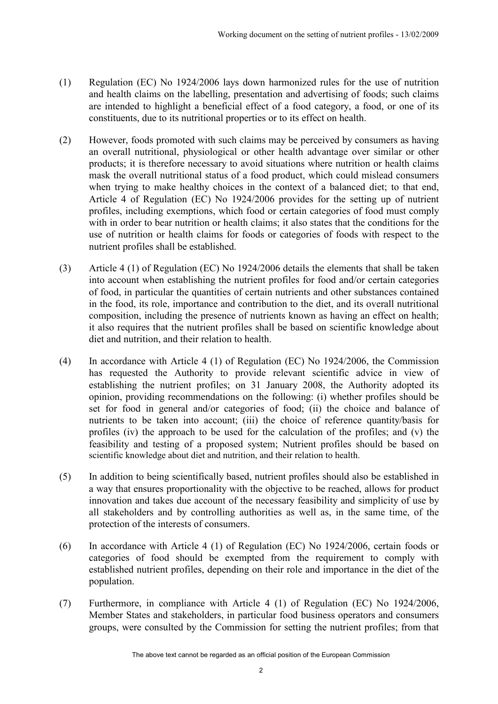- (1) Regulation (EC) No 1924/2006 lays down harmonized rules for the use of nutrition and health claims on the labelling, presentation and advertising of foods; such claims are intended to highlight a beneficial effect of a food category, a food, or one of its constituents, due to its nutritional properties or to its effect on health.
- (2) However, foods promoted with such claims may be perceived by consumers as having an overall nutritional, physiological or other health advantage over similar or other products; it is therefore necessary to avoid situations where nutrition or health claims mask the overall nutritional status of a food product, which could mislead consumers when trying to make healthy choices in the context of a balanced diet; to that end, Article 4 of Regulation (EC) No 1924/2006 provides for the setting up of nutrient profiles, including exemptions, which food or certain categories of food must comply with in order to bear nutrition or health claims; it also states that the conditions for the use of nutrition or health claims for foods or categories of foods with respect to the nutrient profiles shall be established.
- (3) Article 4 (1) of Regulation (EC) No 1924/2006 details the elements that shall be taken into account when establishing the nutrient profiles for food and/or certain categories of food, in particular the quantities of certain nutrients and other substances contained in the food, its role, importance and contribution to the diet, and its overall nutritional composition, including the presence of nutrients known as having an effect on health; it also requires that the nutrient profiles shall be based on scientific knowledge about diet and nutrition, and their relation to health.
- (4) In accordance with Article 4 (1) of Regulation (EC) No 1924/2006, the Commission has requested the Authority to provide relevant scientific advice in view of establishing the nutrient profiles; on 31 January 2008, the Authority adopted its opinion, providing recommendations on the following: (i) whether profiles should be set for food in general and/or categories of food; (ii) the choice and balance of nutrients to be taken into account; (iii) the choice of reference quantity/basis for profiles (iv) the approach to be used for the calculation of the profiles; and (v) the feasibility and testing of a proposed system; Nutrient profiles should be based on scientific knowledge about diet and nutrition, and their relation to health.
- (5) In addition to being scientifically based, nutrient profiles should also be established in a way that ensures proportionality with the objective to be reached, allows for product innovation and takes due account of the necessary feasibility and simplicity of use by all stakeholders and by controlling authorities as well as, in the same time, of the protection of the interests of consumers.
- (6) In accordance with Article 4 (1) of Regulation (EC) No 1924/2006, certain foods or categories of food should be exempted from the requirement to comply with established nutrient profiles, depending on their role and importance in the diet of the population.
- (7) Furthermore, in compliance with Article 4 (1) of Regulation (EC) No 1924/2006, Member States and stakeholders, in particular food business operators and consumers groups, were consulted by the Commission for setting the nutrient profiles; from that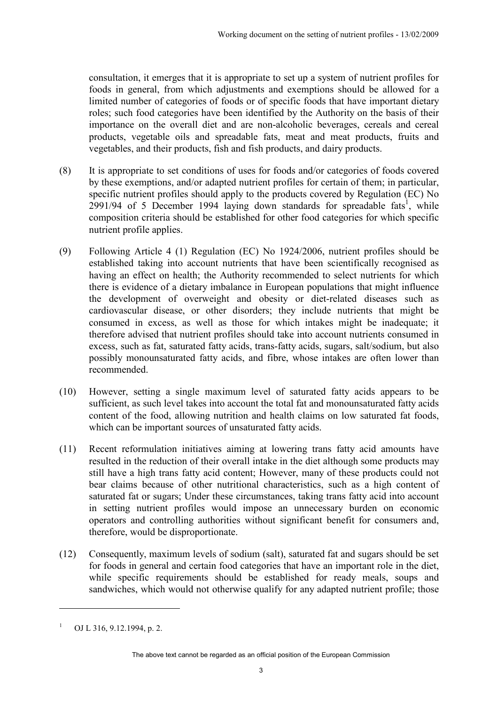consultation, it emerges that it is appropriate to set up a system of nutrient profiles for foods in general, from which adjustments and exemptions should be allowed for a limited number of categories of foods or of specific foods that have important dietary roles; such food categories have been identified by the Authority on the basis of their importance on the overall diet and are non-alcoholic beverages, cereals and cereal products, vegetable oils and spreadable fats, meat and meat products, fruits and vegetables, and their products, fish and fish products, and dairy products.

- (8) It is appropriate to set conditions of uses for foods and/or categories of foods covered by these exemptions, and/or adapted nutrient profiles for certain of them; in particular, specific nutrient profiles should apply to the products covered by Regulation (EC) No  $2991/94$  of 5 December 1994 laying down standards for spreadable fats<sup>1</sup>, while composition criteria should be established for other food categories for which specific nutrient profile applies.
- (9) Following Article 4 (1) Regulation (EC) No 1924/2006, nutrient profiles should be established taking into account nutrients that have been scientifically recognised as having an effect on health; the Authority recommended to select nutrients for which there is evidence of a dietary imbalance in European populations that might influence the development of overweight and obesity or diet-related diseases such as cardiovascular disease, or other disorders; they include nutrients that might be consumed in excess, as well as those for which intakes might be inadequate; it therefore advised that nutrient profiles should take into account nutrients consumed in excess, such as fat, saturated fatty acids, trans-fatty acids, sugars, salt/sodium, but also possibly monounsaturated fatty acids, and fibre, whose intakes are often lower than recommended.
- (10) However, setting a single maximum level of saturated fatty acids appears to be sufficient, as such level takes into account the total fat and monounsaturated fatty acids content of the food, allowing nutrition and health claims on low saturated fat foods, which can be important sources of unsaturated fatty acids.
- (11) Recent reformulation initiatives aiming at lowering trans fatty acid amounts have resulted in the reduction of their overall intake in the diet although some products may still have a high trans fatty acid content; However, many of these products could not bear claims because of other nutritional characteristics, such as a high content of saturated fat or sugars; Under these circumstances, taking trans fatty acid into account in setting nutrient profiles would impose an unnecessary burden on economic operators and controlling authorities without significant benefit for consumers and, therefore, would be disproportionate.
- (12) Consequently, maximum levels of sodium (salt), saturated fat and sugars should be set for foods in general and certain food categories that have an important role in the diet, while specific requirements should be established for ready meals, soups and sandwiches, which would not otherwise qualify for any adapted nutrient profile; those

 $\overline{a}$ 

<sup>&</sup>lt;sup>1</sup> OJ L 316, 9.12.1994, p. 2.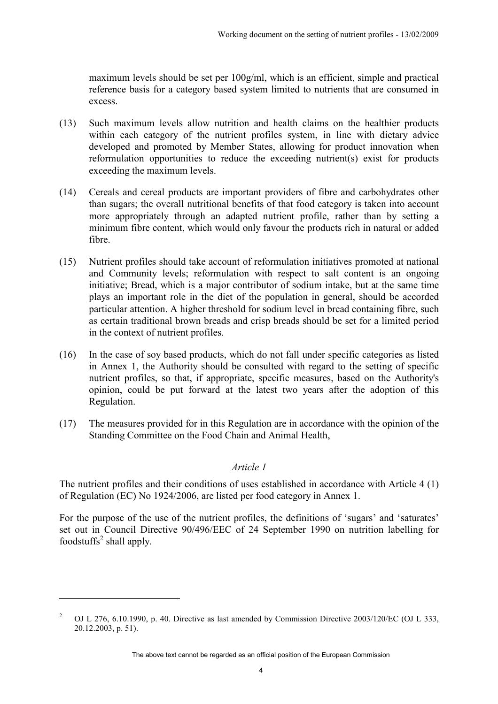maximum levels should be set per 100g/ml, which is an efficient, simple and practical reference basis for a category based system limited to nutrients that are consumed in excess.

- (13) Such maximum levels allow nutrition and health claims on the healthier products within each category of the nutrient profiles system, in line with dietary advice developed and promoted by Member States, allowing for product innovation when reformulation opportunities to reduce the exceeding nutrient(s) exist for products exceeding the maximum levels.
- (14) Cereals and cereal products are important providers of fibre and carbohydrates other than sugars; the overall nutritional benefits of that food category is taken into account more appropriately through an adapted nutrient profile, rather than by setting a minimum fibre content, which would only favour the products rich in natural or added fibre.
- (15) Nutrient profiles should take account of reformulation initiatives promoted at national and Community levels; reformulation with respect to salt content is an ongoing initiative; Bread, which is a major contributor of sodium intake, but at the same time plays an important role in the diet of the population in general, should be accorded particular attention. A higher threshold for sodium level in bread containing fibre, such as certain traditional brown breads and crisp breads should be set for a limited period in the context of nutrient profiles.
- (16) In the case of soy based products, which do not fall under specific categories as listed in Annex 1, the Authority should be consulted with regard to the setting of specific nutrient profiles, so that, if appropriate, specific measures, based on the Authority's opinion, could be put forward at the latest two years after the adoption of this Regulation.
- (17) The measures provided for in this Regulation are in accordance with the opinion of the Standing Committee on the Food Chain and Animal Health,

#### *Article 1*

The nutrient profiles and their conditions of uses established in accordance with Article 4 (1) of Regulation (EC) No 1924/2006, are listed per food category in Annex 1.

For the purpose of the use of the nutrient profiles, the definitions of 'sugars' and 'saturates' set out in Council Directive 90/496/EEC of 24 September 1990 on nutrition labelling for foodstuffs<sup>2</sup> shall apply.

 $\overline{a}$ 

<sup>2</sup> OJ L 276, 6.10.1990, p. 40. Directive as last amended by Commission Directive 2003/120/EC (OJ L 333, 20.12.2003, p. 51).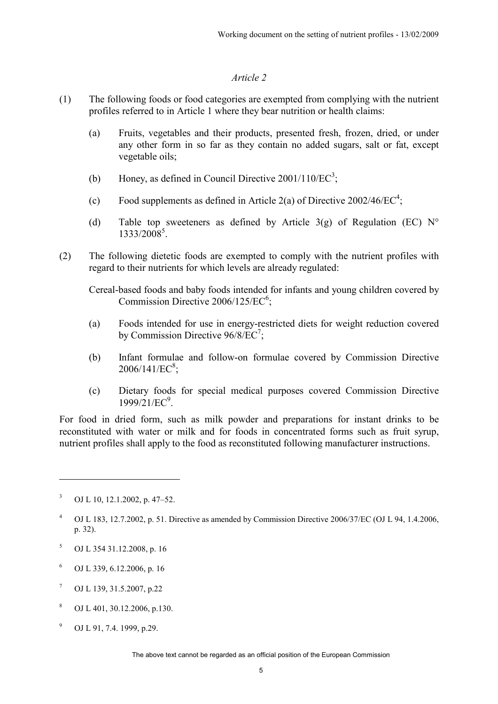#### *Article 2*

- (1) The following foods or food categories are exempted from complying with the nutrient profiles referred to in Article 1 where they bear nutrition or health claims:
	- (a) Fruits, vegetables and their products, presented fresh, frozen, dried, or under any other form in so far as they contain no added sugars, salt or fat, except vegetable oils;
	- (b) Honey, as defined in Council Directive  $2001/110/EC^3$ ;
	- (c) Food supplements as defined in Article 2(a) of Directive  $2002/46/EC^4$ ;
	- (d) Table top sweeteners as defined by Article  $3(g)$  of Regulation (EC) N° 1333/2008<sup>5</sup>.
- (2) The following dietetic foods are exempted to comply with the nutrient profiles with regard to their nutrients for which levels are already regulated:

Cereal-based foods and baby foods intended for infants and young children covered by Commission Directive  $2006/125/EC^6$ ;

- (a) Foods intended for use in energy-restricted diets for weight reduction covered by Commission Directive  $96/8/EC^7$ ;
- (b) Infant formulae and follow-on formulae covered by Commission Directive  $2006/141/EC^8$ ;
- (c) Dietary foods for special medical purposes covered Commission Directive 1999/21/EC<sup>9</sup>.

For food in dried form, such as milk powder and preparations for instant drinks to be reconstituted with water or milk and for foods in concentrated forms such as fruit syrup, nutrient profiles shall apply to the food as reconstituted following manufacturer instructions.

 $\overline{a}$ 

- 5 OJ L 354 31.12.2008, p. 16
- 6 OJ L 339, 6.12.2006, p. 16
- 7 OJ L 139, 31.5.2007, p.22
- 8 OJ L 401, 30.12.2006, p.130.
- 9 OJ L 91, 7.4. 1999, p.29.

The above text cannot be regarded as an official position of the European Commission

<sup>3</sup> OJ L 10, 12.1.2002, p. 47–52.

<sup>4</sup> OJ L 183, 12.7.2002, p. 51. Directive as amended by Commission Directive 2006/37/EC (OJ L 94, 1.4.2006, p. 32).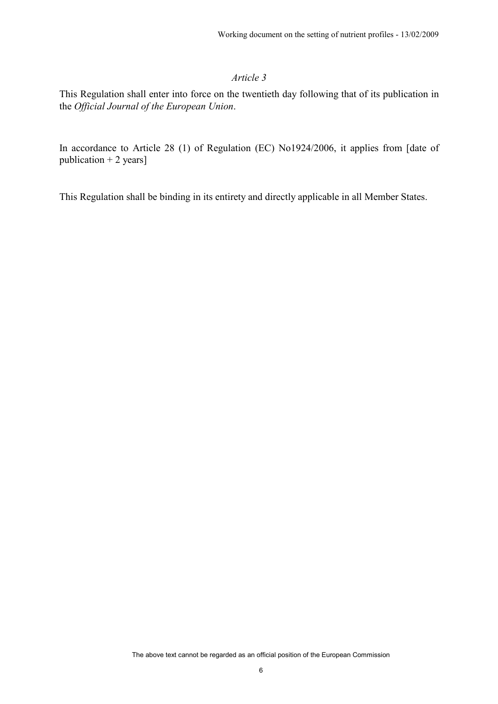### *Article 3*

This Regulation shall enter into force on the twentieth day following that of its publication in the *Official Journal of the European Union*.

In accordance to Article 28 (1) of Regulation (EC) No1924/2006, it applies from [date of publication  $+ 2$  years]

This Regulation shall be binding in its entirety and directly applicable in all Member States.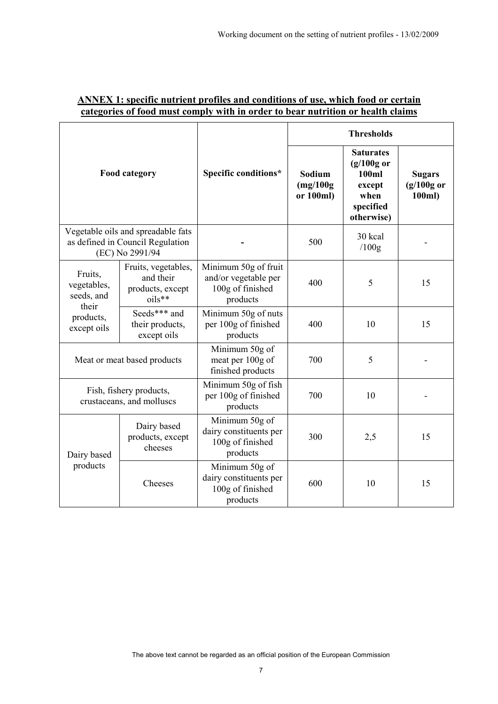| <b>Food category</b>                                                                      |                                                                | Specific conditions*                                                         | <b>Thresholds</b>                |                                                                                        |                                         |
|-------------------------------------------------------------------------------------------|----------------------------------------------------------------|------------------------------------------------------------------------------|----------------------------------|----------------------------------------------------------------------------------------|-----------------------------------------|
|                                                                                           |                                                                |                                                                              | Sodium<br>(mg/100g)<br>or 100ml) | <b>Saturates</b><br>$(g/100g$ or<br>100ml<br>except<br>when<br>specified<br>otherwise) | <b>Sugars</b><br>$(g/100g$ or<br>100ml) |
| Vegetable oils and spreadable fats<br>as defined in Council Regulation<br>(EC) No 2991/94 |                                                                |                                                                              | 500                              | 30 kcal<br>/100g                                                                       |                                         |
| Fruits,<br>vegetables,<br>seeds, and<br>their<br>products,<br>except oils                 | Fruits, vegetables,<br>and their<br>products, except<br>oils** | Minimum 50g of fruit<br>and/or vegetable per<br>100g of finished<br>products | 400                              | 5                                                                                      | 15                                      |
|                                                                                           | Seeds*** and<br>their products,<br>except oils                 | Minimum 50g of nuts<br>per 100g of finished<br>products                      | 400                              | 10                                                                                     | 15                                      |
| Meat or meat based products                                                               |                                                                | Minimum 50g of<br>meat per 100g of<br>finished products                      | 700                              | 5                                                                                      |                                         |
| Fish, fishery products,<br>crustaceans, and molluscs                                      |                                                                | Minimum 50g of fish<br>per 100g of finished<br>products                      | 700                              | 10                                                                                     |                                         |
| Dairy based<br>products                                                                   | Dairy based<br>products, except<br>cheeses                     | Minimum 50g of<br>dairy constituents per<br>100g of finished<br>products     | 300                              | 2,5                                                                                    | 15                                      |
|                                                                                           | Cheeses                                                        | Minimum 50g of<br>dairy constituents per<br>100g of finished<br>products     | 600                              | 10                                                                                     | 15                                      |

## **ANNEX 1: specific nutrient profiles and conditions of use, which food or certain categories of food must comply with in order to bear nutrition or health claims**